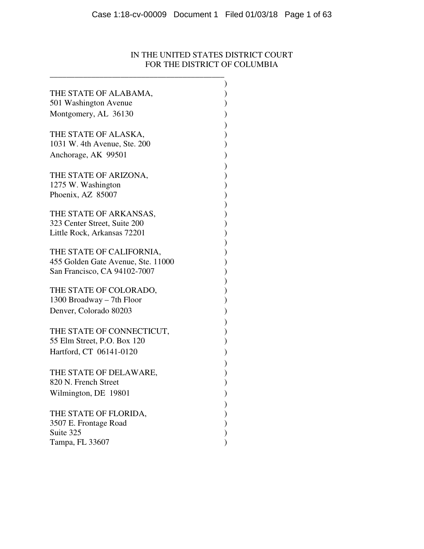# IN THE UNITED STATES DISTRICT COURT FOR THE DISTRICT OF COLUMBIA

| THE STATE OF ALABAMA,              |               |
|------------------------------------|---------------|
| 501 Washington Avenue              |               |
|                                    |               |
| Montgomery, AL 36130               | )             |
|                                    | )<br>)<br>)   |
| THE STATE OF ALASKA,               |               |
| 1031 W. 4th Avenue, Ste. 200       |               |
| Anchorage, AK 99501                |               |
|                                    |               |
| THE STATE OF ARIZONA,              |               |
| 1275 W. Washington                 |               |
| Phoenix, AZ 85007                  |               |
|                                    |               |
| THE STATE OF ARKANSAS,             |               |
| 323 Center Street, Suite 200       |               |
| Little Rock, Arkansas 72201        |               |
|                                    |               |
| THE STATE OF CALIFORNIA,           | リリリリリリリリリリリリリ |
| 455 Golden Gate Avenue, Ste. 11000 |               |
| San Francisco, CA 94102-7007       |               |
|                                    |               |
| THE STATE OF COLORADO,             |               |
| 1300 Broadway – 7th Floor          |               |
| Denver, Colorado 80203             |               |
|                                    |               |
| THE STATE OF CONNECTICUT,          | )<br>)<br>)   |
| 55 Elm Street, P.O. Box 120        |               |
| Hartford, CT 06141-0120            |               |
|                                    | $\big)$       |
|                                    | )<br>)<br>)   |
| THE STATE OF DELAWARE,             |               |
| 820 N. French Street               |               |
| Wilmington, DE 19801               |               |
|                                    |               |
| THE STATE OF FLORIDA,              |               |
| 3507 E. Frontage Road              |               |
| Suite 325                          |               |
| Tampa, FL 33607                    |               |

\_\_\_\_\_\_\_\_\_\_\_\_\_\_\_\_\_\_\_\_\_\_\_\_\_\_\_\_\_\_\_\_\_\_\_\_\_\_\_\_\_\_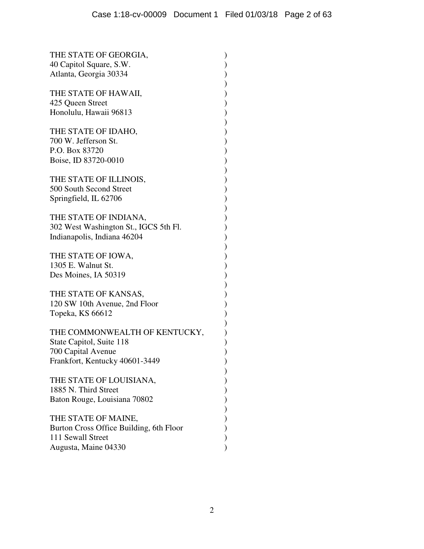| THE STATE OF GEORGIA,<br>40 Capitol Square, S.W.<br>Atlanta, Georgia 30334                                        |
|-------------------------------------------------------------------------------------------------------------------|
| THE STATE OF HAWAII,<br>425 Queen Street<br>) )<br>) )<br>Honolulu, Hawaii 96813                                  |
| THE STATE OF IDAHO,<br>))))))<br>700 W. Jefferson St.<br>P.O. Box 83720<br>Boise, ID 83720-0010                   |
| THE STATE OF ILLINOIS,<br>500 South Second Street<br>Springfield, IL 62706                                        |
| THE STATE OF INDIANA,<br>302 West Washington St., IGCS 5th Fl.<br>Indianapolis, Indiana 46204                     |
| ))))))<br>THE STATE OF IOWA,<br>1305 E. Walnut St.<br>Des Moines, IA 50319                                        |
| THE STATE OF KANSAS,<br>) )<br>) )<br>120 SW 10th Avenue, 2nd Floor<br>Topeka, KS 66612                           |
| THE COMMONWEALTH OF KENTUCKY,<br>State Capitol, Suite 118<br>700 Capital Avenue<br>Frankfort, Kentucky 40601-3449 |
| THE STATE OF LOUISIANA,<br>1885 N. Third Street<br>Baton Rouge, Louisiana 70802                                   |
| THE STATE OF MAINE,<br>Burton Cross Office Building, 6th Floor<br>111 Sewall Street<br>Augusta, Maine 04330       |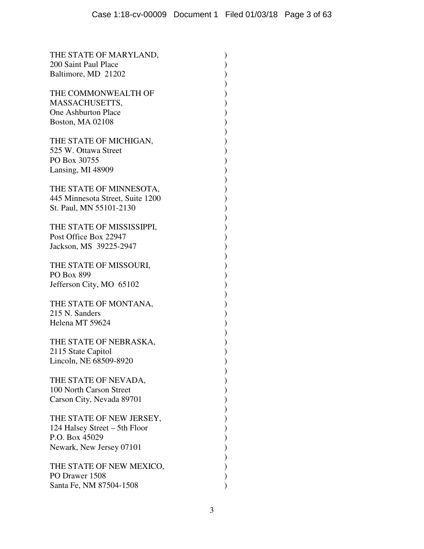| THE STATE OF MARYLAND,<br>200 Saint Paul Place<br>Baltimore, MD 21202                                   |                          |
|---------------------------------------------------------------------------------------------------------|--------------------------|
| THE COMMONWEALTH OF<br>MASSACHUSETTS,<br><b>One Ashburton Place</b><br>Boston, MA 02108                 | ソソソンソンソンソンソンソンソンソンソンソンソン |
| THE STATE OF MICHIGAN,<br>525 W. Ottawa Street<br>PO Box 30755<br>Lansing, MI 48909                     |                          |
| THE STATE OF MINNESOTA,<br>445 Minnesota Street, Suite 1200<br>St. Paul, MN 55101-2130                  |                          |
| THE STATE OF MISSISSIPPI,<br>Post Office Box 22947<br>Jackson, MS 39225-2947                            |                          |
| THE STATE OF MISSOURI,<br>PO Box 899<br>Jefferson City, MO 65102                                        |                          |
| THE STATE OF MONTANA,<br>215 N. Sanders<br>Helena MT 59624                                              |                          |
| THE STATE OF NEBRASKA,<br>2115 State Capitol<br>Lincoln, NE 68509-8920                                  |                          |
| THE STATE OF NEVADA,<br>100 North Carson Street<br>Carson City, Nevada 89701                            |                          |
| THE STATE OF NEW JERSEY,<br>124 Halsey Street – 5th Floor<br>P.O. Box 45029<br>Newark, New Jersey 07101 |                          |
| THE STATE OF NEW MEXICO,<br>PO Drawer 1508<br>Santa Fe, NM 87504-1508                                   |                          |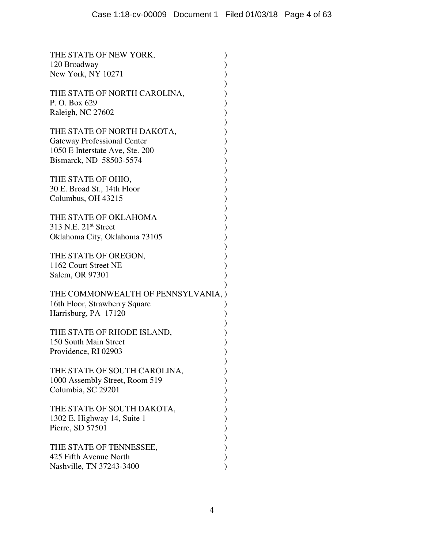| THE STATE OF NEW YORK,<br>120 Broadway<br>New York, NY 10271                                                                   |
|--------------------------------------------------------------------------------------------------------------------------------|
| THE STATE OF NORTH CAROLINA,<br>P.O. Box 629<br>Raleigh, NC 27602                                                              |
| THE STATE OF NORTH DAKOTA,<br><b>Gateway Professional Center</b><br>1050 E Interstate Ave, Ste. 200<br>Bismarck, ND 58503-5574 |
| THE STATE OF OHIO,<br>30 E. Broad St., 14th Floor<br>Columbus, OH 43215                                                        |
| THE STATE OF OKLAHOMA<br>313 N.E. 21 <sup>st</sup> Street<br>Oklahoma City, Oklahoma 73105                                     |
| THE STATE OF OREGON,<br>1162 Court Street NE<br>Salem, OR 97301                                                                |
| THE COMMONWEALTH OF PENNSYLVANIA.<br>16th Floor, Strawberry Square<br>Harrisburg, PA 17120                                     |
| THE STATE OF RHODE ISLAND,<br>150 South Main Street<br>Providence, RI 02903                                                    |
| THE STATE OF SOUTH CAROLINA,<br>1000 Assembly Street, Room 519<br>Columbia, SC 29201                                           |
| THE STATE OF SOUTH DAKOTA,<br>1302 E. Highway 14, Suite 1<br>Pierre, SD 57501                                                  |
| THE STATE OF TENNESSEE,<br>425 Fifth Avenue North<br>Nashville, TN 37243-3400                                                  |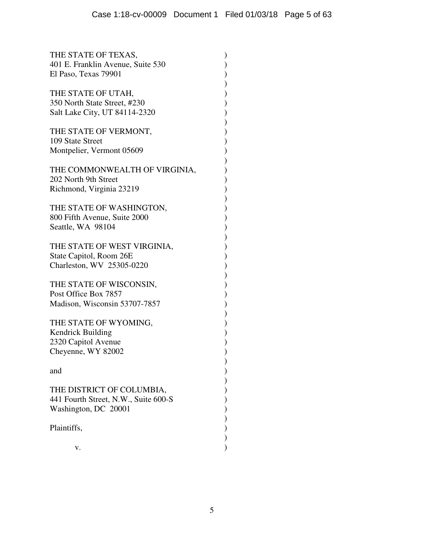| THE STATE OF TEXAS,<br>401 E. Franklin Avenue, Suite 530<br>El Paso, Texas 79901               |             |
|------------------------------------------------------------------------------------------------|-------------|
| THE STATE OF UTAH,<br>350 North State Street, #230<br>Salt Lake City, UT 84114-2320            | ) )<br>) )  |
| THE STATE OF VERMONT,<br>109 State Street<br>Montpelier, Vermont 05609                         |             |
| THE COMMONWEALTH OF VIRGINIA,<br>202 North 9th Street<br>Richmond, Virginia 23219              |             |
| THE STATE OF WASHINGTON,<br>800 Fifth Avenue, Suite 2000<br>Seattle, WA 98104                  | )<br>)<br>) |
| THE STATE OF WEST VIRGINIA,<br>State Capitol, Room 26E<br>Charleston, WV 25305-0220            | )<br>)      |
| THE STATE OF WISCONSIN,<br>Post Office Box 7857<br>Madison, Wisconsin 53707-7857               | ) )<br>) )  |
| THE STATE OF WYOMING,<br><b>Kendrick Building</b><br>2320 Capitol Avenue<br>Cheyenne, WY 82002 | ) )<br>) .  |
| and                                                                                            |             |
| THE DISTRICT OF COLUMBIA,<br>441 Fourth Street, N.W., Suite 600-S<br>Washington, DC 20001      |             |
| Plaintiffs,                                                                                    |             |
| V.                                                                                             |             |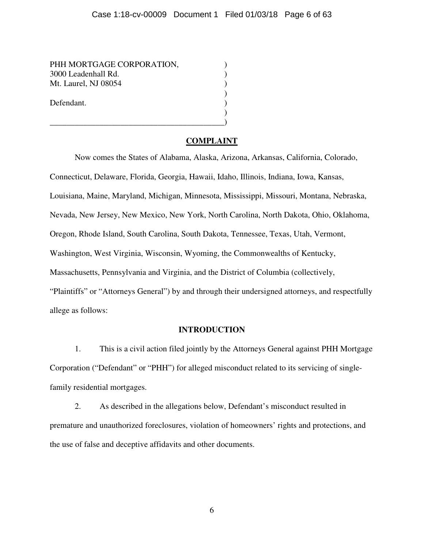PHH MORTGAGE CORPORATION, 3000 Leadenhall Rd. ) Mt. Laurel, NJ 08054 (2004) Defendant.

\_\_\_\_\_\_\_\_\_\_\_\_\_\_\_\_\_\_\_\_\_\_\_\_\_\_\_\_\_\_\_\_\_\_\_\_\_\_\_\_\_\_)

## **COMPLAINT**

 $\begin{pmatrix} 1 \\ 2 \end{pmatrix}$ 

)

 Now comes the States of Alabama, Alaska, Arizona, Arkansas, California, Colorado, Connecticut, Delaware, Florida, Georgia, Hawaii, Idaho, Illinois, Indiana, Iowa, Kansas, Louisiana, Maine, Maryland, Michigan, Minnesota, Mississippi, Missouri, Montana, Nebraska, Nevada, New Jersey, New Mexico, New York, North Carolina, North Dakota, Ohio, Oklahoma, Oregon, Rhode Island, South Carolina, South Dakota, Tennessee, Texas, Utah, Vermont, Washington, West Virginia, Wisconsin, Wyoming, the Commonwealths of Kentucky, Massachusetts, Pennsylvania and Virginia, and the District of Columbia (collectively, "Plaintiffs" or "Attorneys General") by and through their undersigned attorneys, and respectfully allege as follows:

## **INTRODUCTION**

1. This is a civil action filed jointly by the Attorneys General against PHH Mortgage Corporation ("Defendant" or "PHH") for alleged misconduct related to its servicing of singlefamily residential mortgages.

2. As described in the allegations below, Defendant's misconduct resulted in premature and unauthorized foreclosures, violation of homeowners' rights and protections, and the use of false and deceptive affidavits and other documents.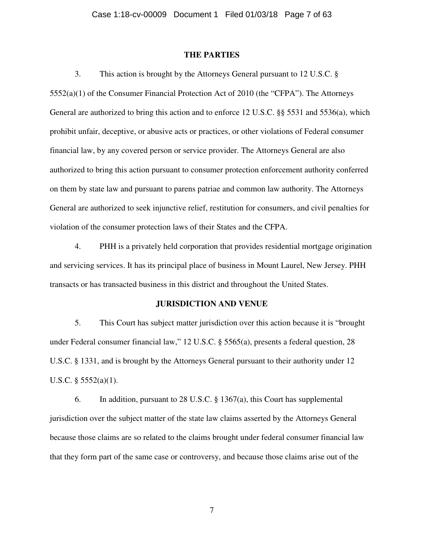#### **THE PARTIES**

3. This action is brought by the Attorneys General pursuant to 12 U.S.C. § 5552(a)(1) of the Consumer Financial Protection Act of 2010 (the "CFPA"). The Attorneys General are authorized to bring this action and to enforce 12 U.S.C. §§ 5531 and 5536(a), which prohibit unfair, deceptive, or abusive acts or practices, or other violations of Federal consumer financial law, by any covered person or service provider. The Attorneys General are also authorized to bring this action pursuant to consumer protection enforcement authority conferred on them by state law and pursuant to parens patriae and common law authority. The Attorneys General are authorized to seek injunctive relief, restitution for consumers, and civil penalties for violation of the consumer protection laws of their States and the CFPA.

4. PHH is a privately held corporation that provides residential mortgage origination and servicing services. It has its principal place of business in Mount Laurel, New Jersey. PHH transacts or has transacted business in this district and throughout the United States.

#### **JURISDICTION AND VENUE**

5. This Court has subject matter jurisdiction over this action because it is "brought under Federal consumer financial law," 12 U.S.C. § 5565(a), presents a federal question, 28 U.S.C. § 1331, and is brought by the Attorneys General pursuant to their authority under 12 U.S.C. § 5552(a)(1).

6. In addition, pursuant to 28 U.S.C. § 1367(a), this Court has supplemental jurisdiction over the subject matter of the state law claims asserted by the Attorneys General because those claims are so related to the claims brought under federal consumer financial law that they form part of the same case or controversy, and because those claims arise out of the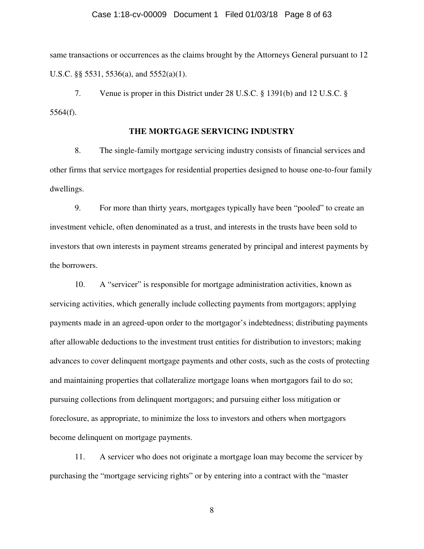#### Case 1:18-cv-00009 Document 1 Filed 01/03/18 Page 8 of 63

same transactions or occurrences as the claims brought by the Attorneys General pursuant to 12 U.S.C. §§ 5531, 5536(a), and 5552(a)(1).

7. Venue is proper in this District under 28 U.S.C. § 1391(b) and 12 U.S.C. § 5564(f).

#### **THE MORTGAGE SERVICING INDUSTRY**

8. The single-family mortgage servicing industry consists of financial services and other firms that service mortgages for residential properties designed to house one-to-four family dwellings.

9. For more than thirty years, mortgages typically have been "pooled" to create an investment vehicle, often denominated as a trust, and interests in the trusts have been sold to investors that own interests in payment streams generated by principal and interest payments by the borrowers.

10. A "servicer" is responsible for mortgage administration activities, known as servicing activities, which generally include collecting payments from mortgagors; applying payments made in an agreed-upon order to the mortgagor's indebtedness; distributing payments after allowable deductions to the investment trust entities for distribution to investors; making advances to cover delinquent mortgage payments and other costs, such as the costs of protecting and maintaining properties that collateralize mortgage loans when mortgagors fail to do so; pursuing collections from delinquent mortgagors; and pursuing either loss mitigation or foreclosure, as appropriate, to minimize the loss to investors and others when mortgagors become delinquent on mortgage payments.

11. A servicer who does not originate a mortgage loan may become the servicer by purchasing the "mortgage servicing rights" or by entering into a contract with the "master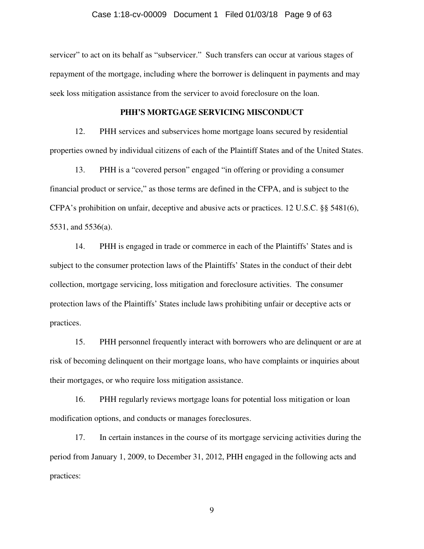#### Case 1:18-cv-00009 Document 1 Filed 01/03/18 Page 9 of 63

servicer" to act on its behalf as "subservicer." Such transfers can occur at various stages of repayment of the mortgage, including where the borrower is delinquent in payments and may seek loss mitigation assistance from the servicer to avoid foreclosure on the loan.

#### **PHH'S MORTGAGE SERVICING MISCONDUCT**

12. PHH services and subservices home mortgage loans secured by residential properties owned by individual citizens of each of the Plaintiff States and of the United States.

13. PHH is a "covered person" engaged "in offering or providing a consumer financial product or service," as those terms are defined in the CFPA, and is subject to the CFPA's prohibition on unfair, deceptive and abusive acts or practices. 12 U.S.C. §§ 5481(6), 5531, and 5536(a).

14. PHH is engaged in trade or commerce in each of the Plaintiffs' States and is subject to the consumer protection laws of the Plaintiffs' States in the conduct of their debt collection, mortgage servicing, loss mitigation and foreclosure activities. The consumer protection laws of the Plaintiffs' States include laws prohibiting unfair or deceptive acts or practices.

15. PHH personnel frequently interact with borrowers who are delinquent or are at risk of becoming delinquent on their mortgage loans, who have complaints or inquiries about their mortgages, or who require loss mitigation assistance.

16. PHH regularly reviews mortgage loans for potential loss mitigation or loan modification options, and conducts or manages foreclosures.

17. In certain instances in the course of its mortgage servicing activities during the period from January 1, 2009, to December 31, 2012, PHH engaged in the following acts and practices: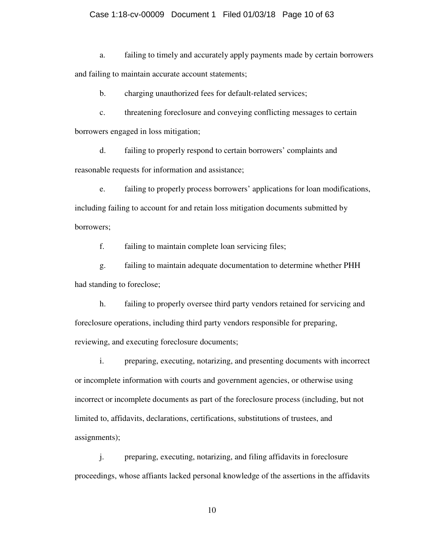#### Case 1:18-cv-00009 Document 1 Filed 01/03/18 Page 10 of 63

a. failing to timely and accurately apply payments made by certain borrowers and failing to maintain accurate account statements;

b. charging unauthorized fees for default-related services;

c. threatening foreclosure and conveying conflicting messages to certain borrowers engaged in loss mitigation;

d. failing to properly respond to certain borrowers' complaints and reasonable requests for information and assistance;

e. failing to properly process borrowers' applications for loan modifications, including failing to account for and retain loss mitigation documents submitted by borrowers;

f. failing to maintain complete loan servicing files;

g. failing to maintain adequate documentation to determine whether PHH had standing to foreclose;

h. failing to properly oversee third party vendors retained for servicing and foreclosure operations, including third party vendors responsible for preparing, reviewing, and executing foreclosure documents;

i. preparing, executing, notarizing, and presenting documents with incorrect or incomplete information with courts and government agencies, or otherwise using incorrect or incomplete documents as part of the foreclosure process (including, but not limited to, affidavits, declarations, certifications, substitutions of trustees, and assignments);

j. preparing, executing, notarizing, and filing affidavits in foreclosure proceedings, whose affiants lacked personal knowledge of the assertions in the affidavits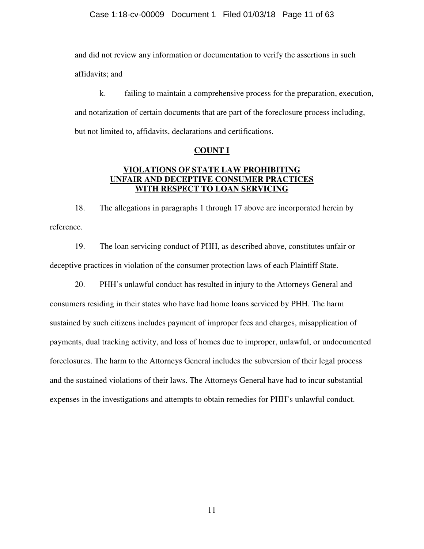and did not review any information or documentation to verify the assertions in such affidavits; and

k. failing to maintain a comprehensive process for the preparation, execution, and notarization of certain documents that are part of the foreclosure process including, but not limited to, affidavits, declarations and certifications.

#### **COUNT I**

## **VIOLATIONS OF STATE LAW PROHIBITING UNFAIR AND DECEPTIVE CONSUMER PRACTICES WITH RESPECT TO LOAN SERVICING**

18. The allegations in paragraphs 1 through 17 above are incorporated herein by reference.

19. The loan servicing conduct of PHH, as described above, constitutes unfair or deceptive practices in violation of the consumer protection laws of each Plaintiff State.

20. PHH's unlawful conduct has resulted in injury to the Attorneys General and consumers residing in their states who have had home loans serviced by PHH. The harm sustained by such citizens includes payment of improper fees and charges, misapplication of payments, dual tracking activity, and loss of homes due to improper, unlawful, or undocumented foreclosures. The harm to the Attorneys General includes the subversion of their legal process and the sustained violations of their laws. The Attorneys General have had to incur substantial expenses in the investigations and attempts to obtain remedies for PHH's unlawful conduct.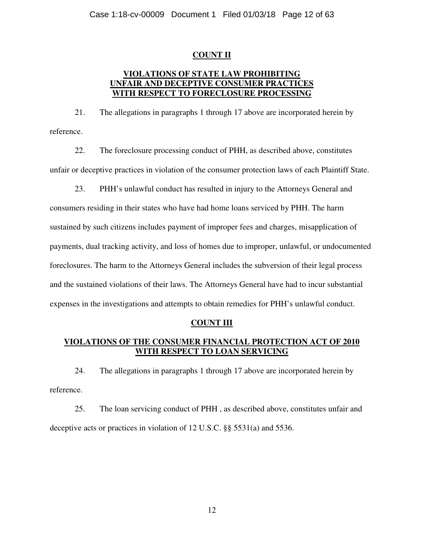## **COUNT II**

## **VIOLATIONS OF STATE LAW PROHIBITING UNFAIR AND DECEPTIVE CONSUMER PRACTICES WITH RESPECT TO FORECLOSURE PROCESSING**

21. The allegations in paragraphs 1 through 17 above are incorporated herein by reference.

22. The foreclosure processing conduct of PHH, as described above, constitutes unfair or deceptive practices in violation of the consumer protection laws of each Plaintiff State.

23. PHH's unlawful conduct has resulted in injury to the Attorneys General and consumers residing in their states who have had home loans serviced by PHH. The harm sustained by such citizens includes payment of improper fees and charges, misapplication of payments, dual tracking activity, and loss of homes due to improper, unlawful, or undocumented foreclosures. The harm to the Attorneys General includes the subversion of their legal process and the sustained violations of their laws. The Attorneys General have had to incur substantial expenses in the investigations and attempts to obtain remedies for PHH's unlawful conduct.

## **COUNT III**

## **VIOLATIONS OF THE CONSUMER FINANCIAL PROTECTION ACT OF 2010 WITH RESPECT TO LOAN SERVICING**

24. The allegations in paragraphs 1 through 17 above are incorporated herein by reference.

25. The loan servicing conduct of PHH , as described above, constitutes unfair and deceptive acts or practices in violation of 12 U.S.C. §§ 5531(a) and 5536.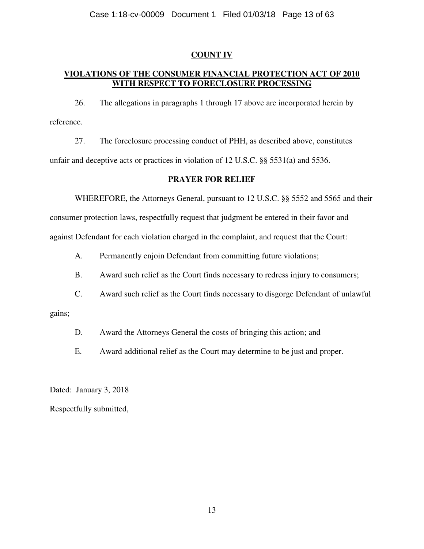## **COUNT IV**

# **VIOLATIONS OF THE CONSUMER FINANCIAL PROTECTION ACT OF 2010 WITH RESPECT TO FORECLOSURE PROCESSING**

26. The allegations in paragraphs 1 through 17 above are incorporated herein by reference.

27. The foreclosure processing conduct of PHH, as described above, constitutes unfair and deceptive acts or practices in violation of 12 U.S.C. §§ 5531(a) and 5536.

## **PRAYER FOR RELIEF**

WHEREFORE, the Attorneys General, pursuant to 12 U.S.C. §§ 5552 and 5565 and their

consumer protection laws, respectfully request that judgment be entered in their favor and against Defendant for each violation charged in the complaint, and request that the Court:

A. Permanently enjoin Defendant from committing future violations;

B. Award such relief as the Court finds necessary to redress injury to consumers;

C. Award such relief as the Court finds necessary to disgorge Defendant of unlawful

gains;

D. Award the Attorneys General the costs of bringing this action; and

E. Award additional relief as the Court may determine to be just and proper.

Dated: January 3, 2018

Respectfully submitted,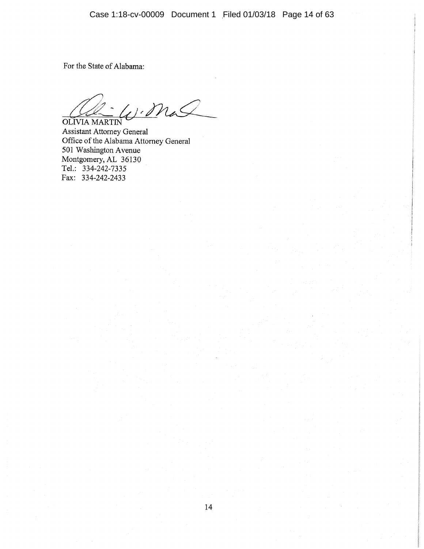For the State of Alabama:

W. Mal OLIVIA MARTIN

Assistant Attorney General Office of the Alabama Attorney General 501 Washington Avenue Montgomery, AL 36130 Tel.: 334-242-7335 Fax: 334-242-2433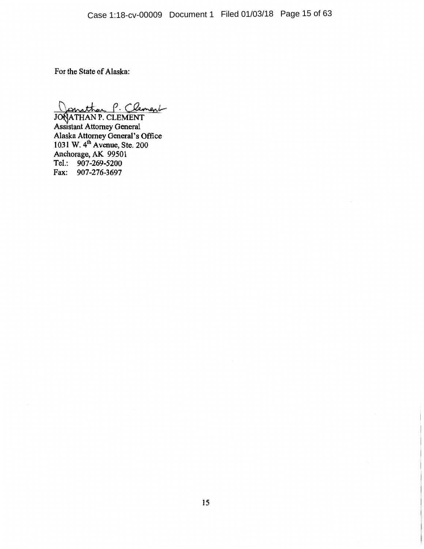For the State of Alaska:

Jonathan P. Clement<br>JONATHAN P. CLEMENT<br>Assistant Attorney General<br>Alaska Attorney General's Office<br>1031 W. 4<sup>th</sup> Avenue, Ste. 200<br>Anchorage, AK 99501<br>Tel.: 907-269-5200 Tel.: 907-269-5200 Fax: 907-276-3697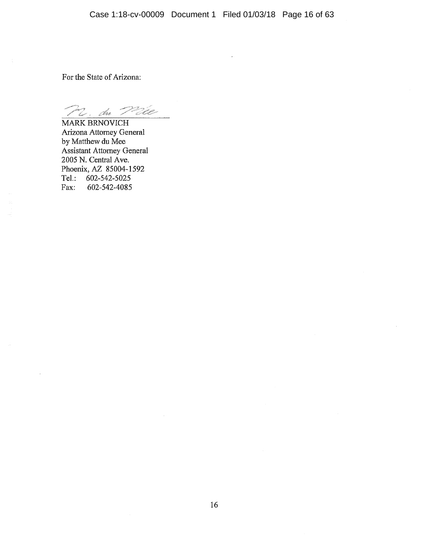For the State of Arizona:

er, du Pale

MARK BRNOVICH Arizona Attorney General by Matthew du Mee Assistant Attorney General 2005 N. Central Ave. Phoenix, AZ 85004-1592 Tel.: 602-542-5025 602-542-4085 Fax: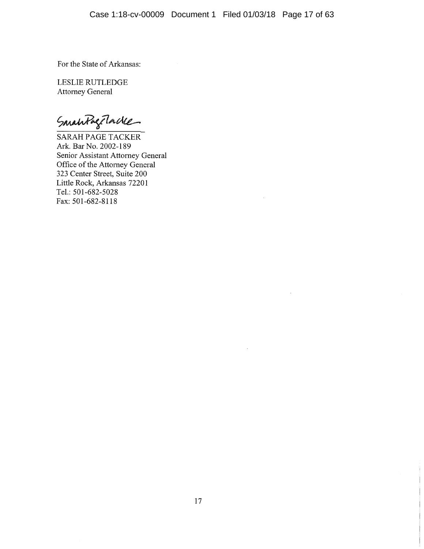For the State of Arkansas:

LESLIE RUTLEDGE Attorney General

SmahlageTacke

SARAH PAGE TACKER Ark. Bar No. 2002-189 Senior Assistant Attorney General Office of the Attorney General<br>323 Center Street, Suite 200 Little Rock, Arkansas 72201 Tel.: 501-682-5028 Fax: 501-682-8118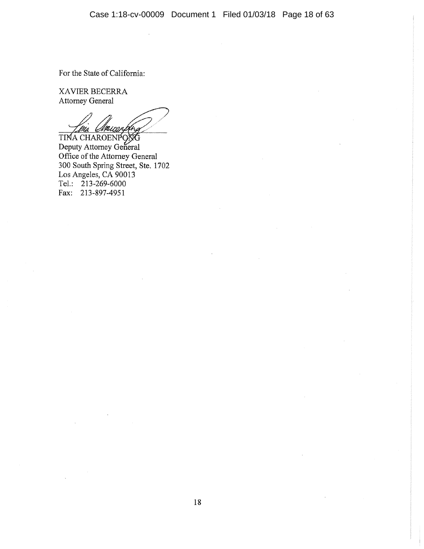For the State of California:

XAVIER BECERRA Attorney General

TINA CHAROENPONG Deputy Attorney General<br>Office of the Attorney General 300 South Spring Street, Ste. 1702 Los Angeles, CA 90013 Tel.: 213-269-6000 Fax: 213-897-4951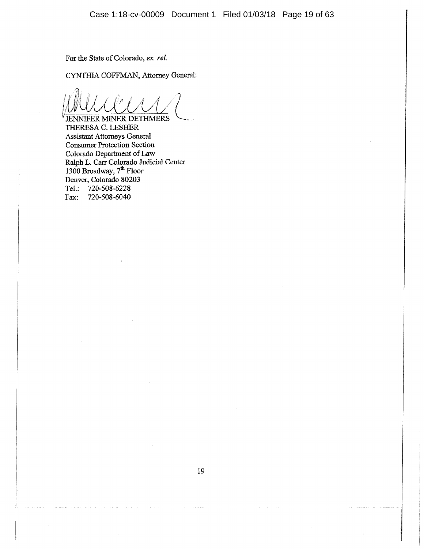For the State of Colorado, ex. rel.

CYNTHIA COFFMAN, Attorney General:

**JENNIFER MINER DETHMERS** THERESA C. LESHER **Assistant Attorneys General Consumer Protection Section** Colorado Department of Law<br>Ralph L. Carr Colorado Judicial Center<br>1300 Broadway, 7<sup>th</sup> Floor<br>Denver, Colorado 80203 Tel.: 720-508-6228 720-508-6040 Fax: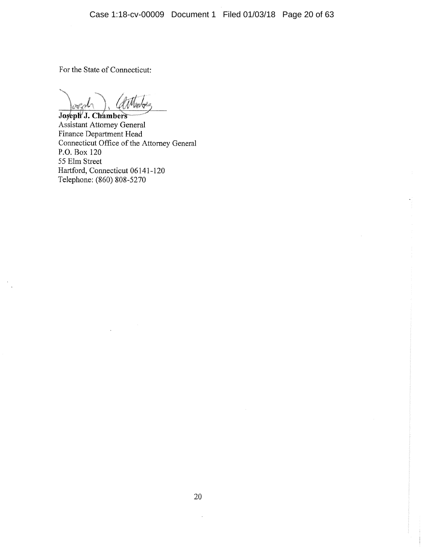For the State of Connecticut:

Joseph J. Chambers Assistant Attorney General Finance Department Head<br>Connecticut Office of the Attorney General P.O. Box 120 55 Elm Street Hartford, Connecticut 06141-120 Telephone: (860) 808-5270

 $\hat{\boldsymbol{\beta}}$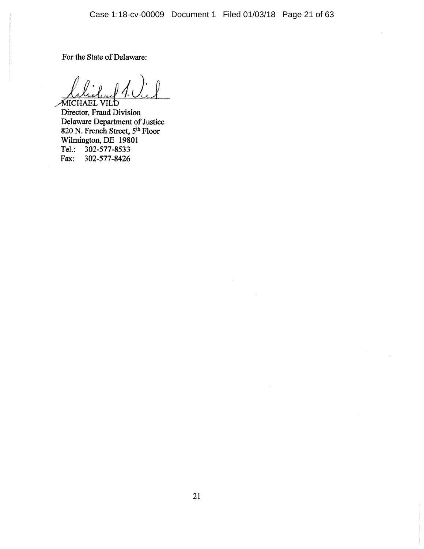For the State of Delaware:

MICHAEL VILD Director, Fraud Division Division<br>Delaware Department of Justice<br>820 N. French Street, 5<sup>th</sup> Floor<br>Wilmington, DE 19801 Tel.: 302-577-8533 302-577-8426 Fax: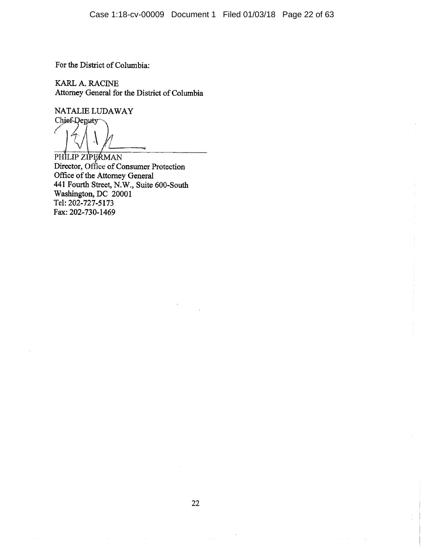For the District of Columbia:

KARL A. RACINE Attorney General for the District of Columbia

NATALIE LUDAWAY Chief-Deputy

ľ

PHILIP ZIPERMAN Director, Office of Consumer Protection Office of the Attorney General 441 Fourth Street, N.W., Suite 600-South Washington, DC 20001 Tel: 202-727-5173 Fax: 202-730-1469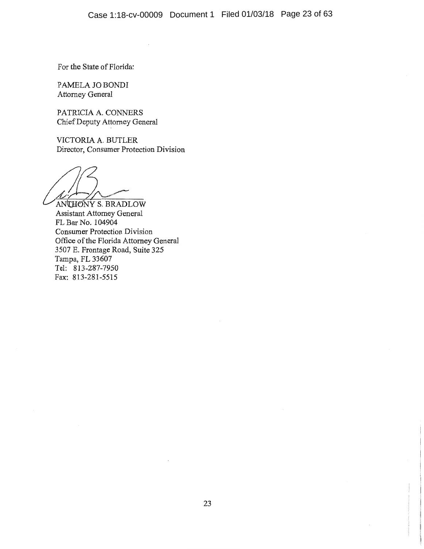For the State of Florida:

PAMELA JO BONDI Attorney General

PATRICIA A. CONNERS Chief Deputy Attorney General

VICTORIA A. BUTLER Director, Consumer Protection Division

ANTHONY S. BRADLOW

Assistant Attorney General FL Bar No. 104904 **Consumer Protection Division** Office of the Florida Attorney General 3507 E. Frontage Road, Suite 325 Tampa, FL 33607 Tel: 813-287-7950 Fax: 813-281-5515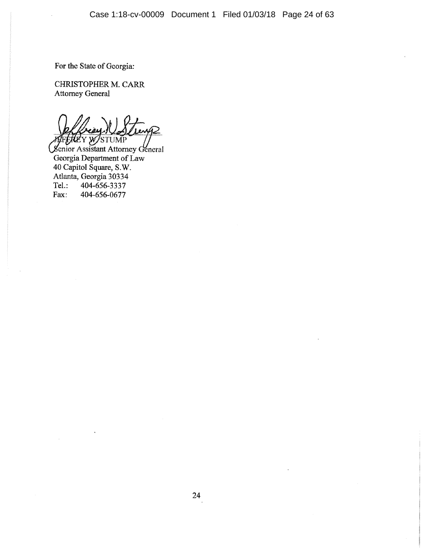For the State of Georgia:

CHRISTOPHER M. CARR **Attorney General** 

**WSTUMP RE** Y

Senior Assistant Attorney General Georgia Department of Law 40 Capitol Square, S.W. Atlanta, Georgia 30334 404-656-3337 Tel.: 404-656-0677 Fax: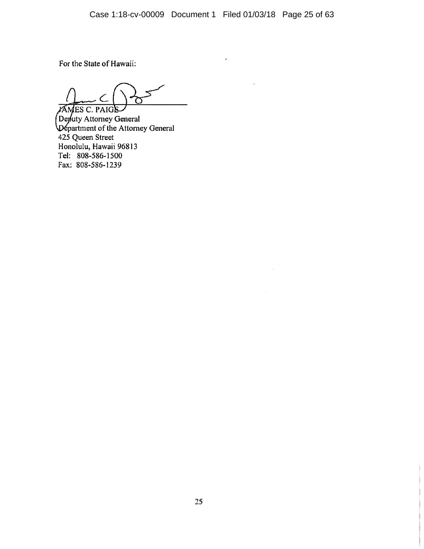For the State of Hawaii:

O

**AMES C. PAIGS** Deputy Attorney General<br>Department of the Attorney General 425 Queen Street Honolulu, Hawaii 96813 Tel: 808-586-1500 Fax: 808-586-1239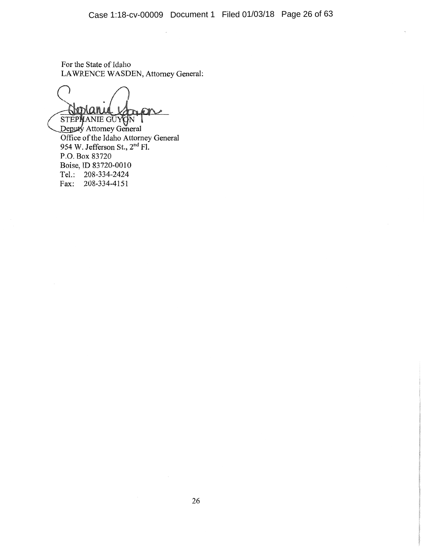For the State of Idaho LAWRENCE WASDEN, Attorney General:

**ROOM** 

STEPHANIE GUYON Office of the Idaho Attorney General 954 W. Jefferson St., 2<sup>nd</sup> Fl. P.O. Box 83720 Boise, ID 83720-0010 Tel.: 208-334-2424 Fax: 208-334-4151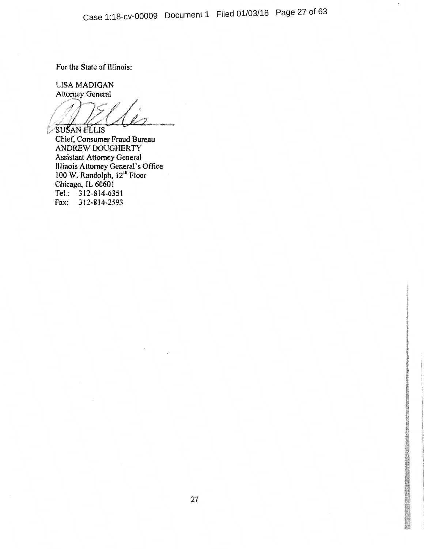For the State of Illinois:

LISA MADIGAN **Attorney General** 

SUSAN ELLIS

Chief, Consumer Fraud Bureau ANDREW DOUGHERTY Assistant Attorney General<br>Illinois Attorney General's Office<br>100 W. Randolph, 12<sup>th</sup> Floor<br>Chicago, IL 60601 Tel.: 312-814-6351 Fax: 312-814-2593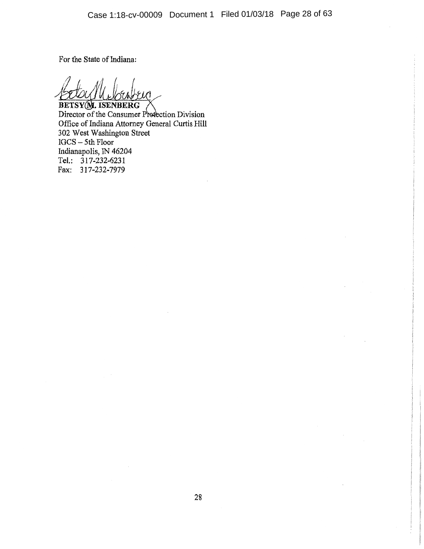For the State of Indiana:

**BETSY(M. ISENBERG** 

Director of the Consumer Profection Division Office of Indiana Attorney General Curtis Hill 302 West Washington Street IGCS - 5th Floor Indianapolis, IN 46204 Tel.: 317-232-6231 Fax: 317-232-7979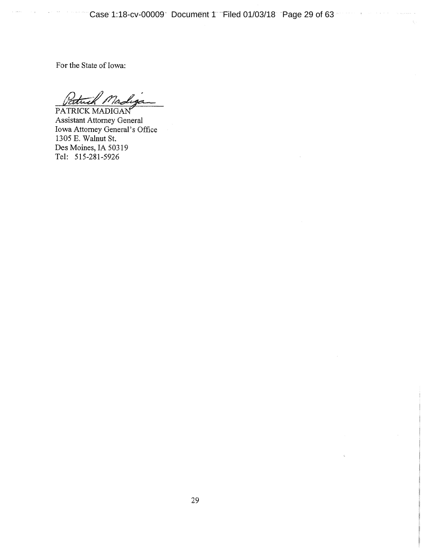Case 1:18-cv-00009 Document 1 Filed 01/03/18 Page 29 of 63

For the State of Iowa:

Va. a<br>Martin 78hrs

PATRICK MADIGAN Assistant Attorney General Iowa Attorney General's Office 1305 E. Walnut St. Des Moines, IA 50319 Tel: 515-281-5926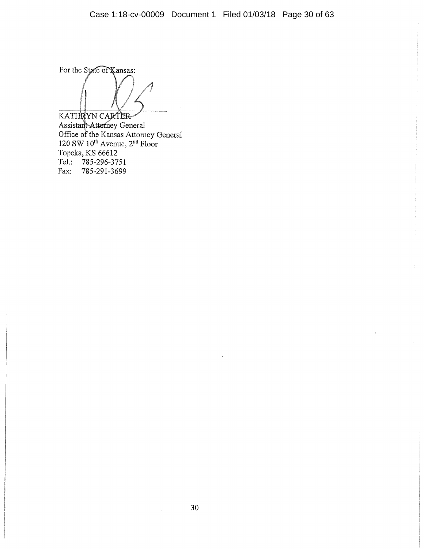For the State of Kansas:

KATHRYN CARTER ANTIN IN CARTER<br>Assistant Attorney General<br>Office of the Kansas Attorney General<br>120 SW 10<sup>th</sup> Avenue, 2<sup>nd</sup> Floor<br>Topeka, KS 66612 Tel.: 785-296-3751 Fax: 785-291-3699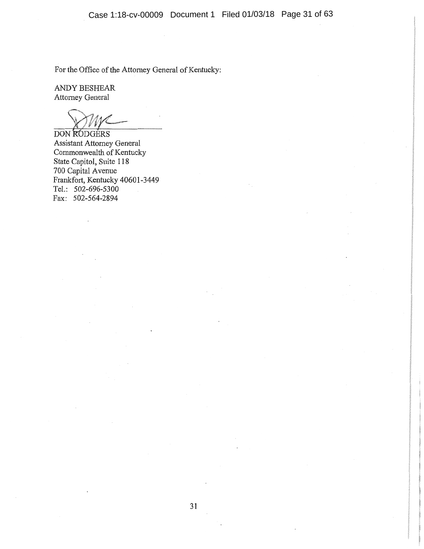For the Office of the Attorney General of Kentucky:

ANDY BESHEAR Attorney General

DON RODGERS **Assistant Attorney General** Commonwealth of Kentucky State Capitol, Suite 118<br>700 Capital Avenue Frankfort, Kentucky 40601-3449 Tel.: 502-696-5300 Fax: 502-564-2894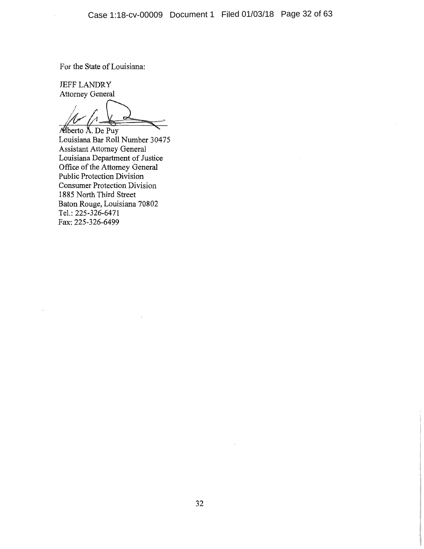For the State of Louisiana:

**JEFF LANDRY** Attorney General

Alberto A. De Puy Louisiana Bar Roll Number 30475 Assistant Attorney General Louisiana Department of Justice<br>Office of the Attorney General Public Protection Division **Consumer Protection Division** 1885 North Third Street Baton Rouge, Louisiana 70802 Tel.: 225-326-6471 Fax: 225-326-6499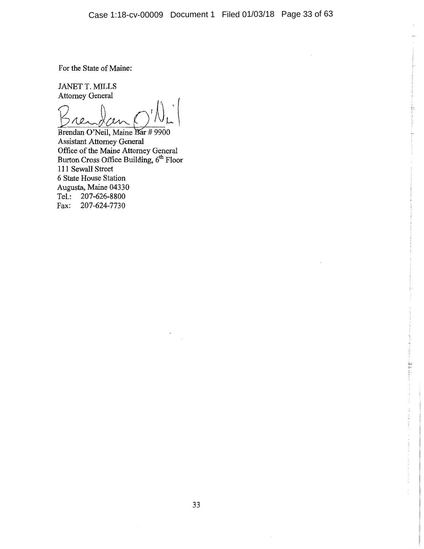For the State of Maine:

JANET T. MILLS Attorney General

Brendan O'Neil, Maine Bar # 9900 **Assistant Attorney General** Office of the Maine Attorney General<br>Burton Cross Office Building, 6<sup>th</sup> Floor 111 Sewall Street 6 State House Station Augusta, Maine 04330 Tel.: 207-626-8800 Fax: 207-624-7730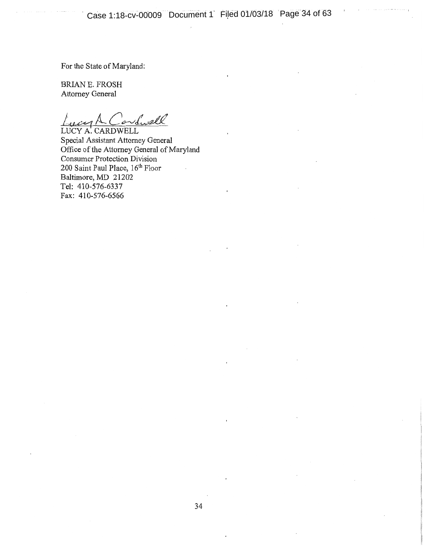For the State of Maryland:

BRIAN E. FROSH Attorney General

d. ell

LUCY A. CARDWELL Special Assistant Attorney General Office of the Attorney General of Maryland Consumer Protection Division 200 Saint Paul Place, 16th Floor Baltimore, MD 21202 Tel: 410-576-6337 Fax: 410-576-6566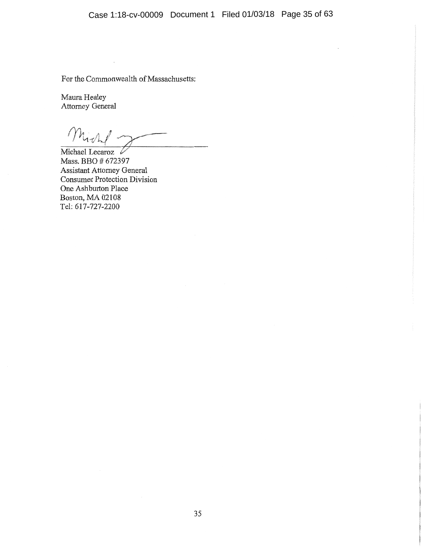For the Commonwealth of Massachusetts:

 $\epsilon$ 

Maura Healey Attorney General

Michael Lecaroz V Mass. BBO # 672397 Assistant Attorney General Consumer Protection Division One Ashburton Place Boston, MA 02108 Tel: 617-727-2200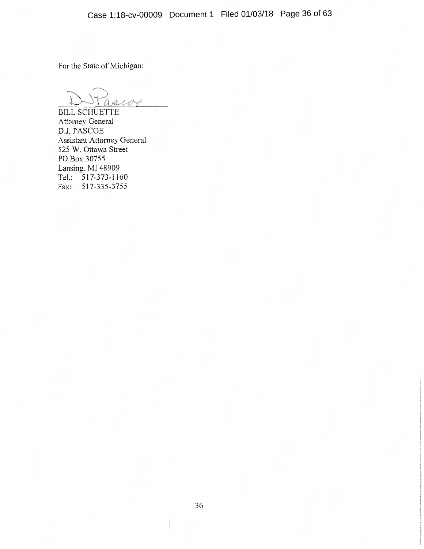For the State of Michigan:

**BILL SCHUETTE** Attorney General D.J. PASCOE Assistant Attorney General 525 W. Ottawa Street PO Box 30755 Lansing, MI 48909 Tel.: 517-373-1160 Fax: 517-335-3755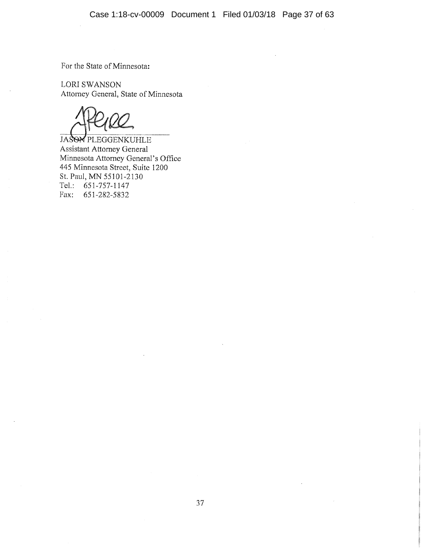For the State of Minnesota:

LORI SWANSON Attorney General, State of Minnesota

JASON PLEGGENKUHLE Assistant Attorney General Minnesota Attorney General's Office 445 Minnesota Street, Suite 1200 St. Paul, MN 55101-2130 Tel.:  $651-757-1147$ Fax: 651-282-5832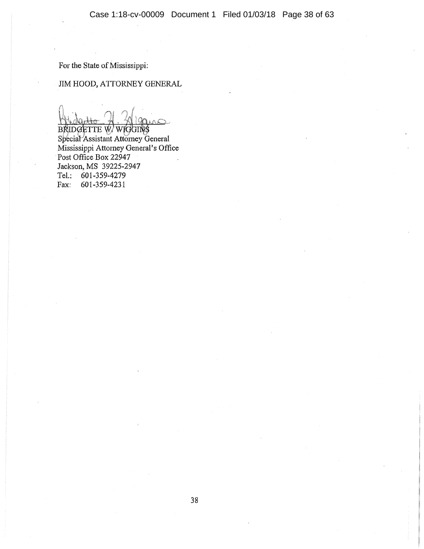For the State of Mississippi:

## JIM HOOD, ATTORNEY GENERAL

BRIDGETTE W/WIGGINS Special Assistant Attorney General Mississippi Attorney General's Office Post Office Box 22947 Jackson, MS 39225-2947 Tel.: 601-359-4279 601-359-4231 Fax: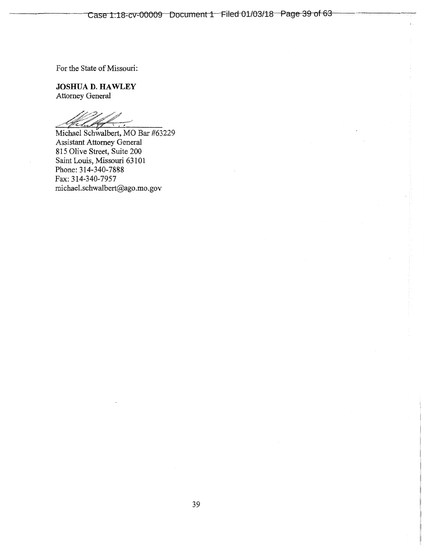For the State of Missouri:

**JOSHUA D. HAWLEY** Attorney General

Michael Schwalbert, MO Bar #63229 Assistant Attorney General 815 Olive Street, Suite 200 Saint Louis, Missouri 63101<br>Phone: 314-340-7888 Fax: 314-340-7957 michael.schwalbert@ago.mo.gov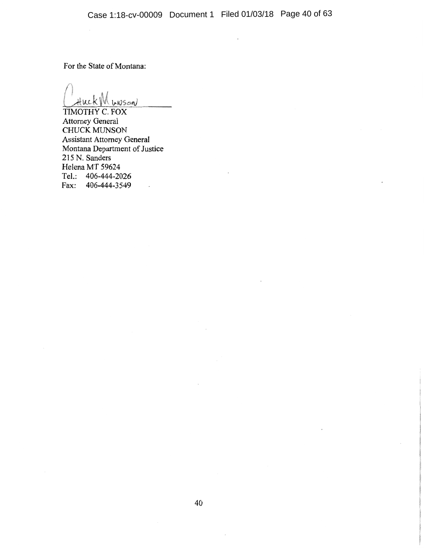For the State of Montana:

Huck M woson

TIMOTHY C. FOX **Attorney General** CHUCK MUNSON **Assistant Attorney General** Montana Department of Justice 215 N. Sanders Helena MT 59624 Tel.: 406-444-2026 Fax: 406-444-3549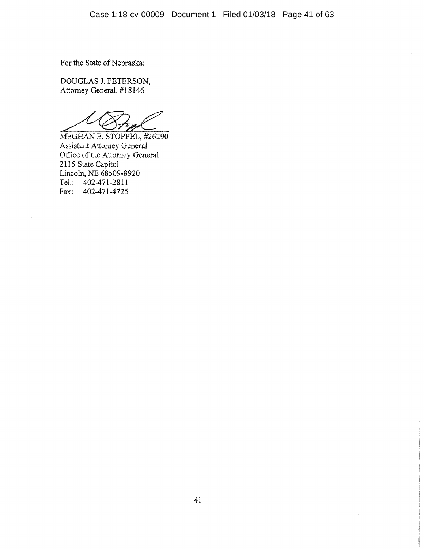For the State of Nebraska:

DOUGLAS J. PETERSON, Attorney General. #18146

MEGHAN E. STOPPEL, #26290 Assistant Attorney General<br>Office of the Attorney General<br>2115 State Capitol<br>Lincoln, NE 68509-8920 Tel.: 402-471-2811 Fax: 402-471-4725

 $\vec{\omega}$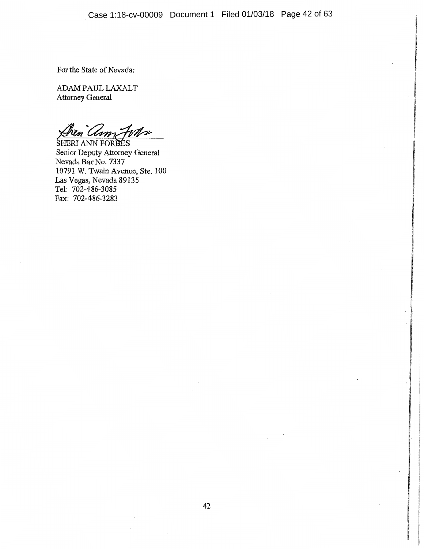For the State of Nevada:

ADAM PAUL LAXALT Attorney General

Mz en Clim

SHERI ANN FORBES Senior Deputy Attorney General Nevada Bar No. 7337 10791 W. Twain Avenue, Ste. 100 Las Vegas, Nevada 89135 Tel: 702-486-3085 Fax: 702-486-3283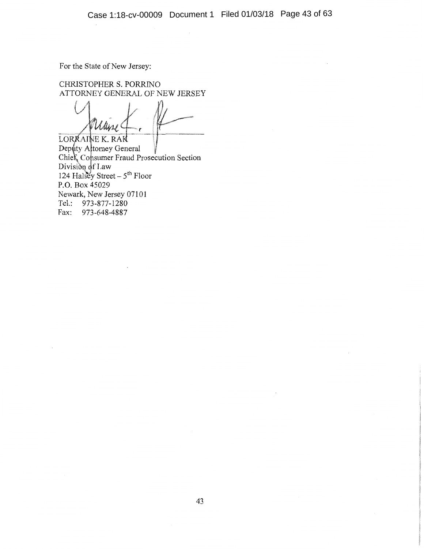For the State of New Jersey:

CHRISTOPHER S. PORRINO ATTORNEY GENERAL OF NEW JERSEY

LORRAINE K. RAK Deputy Altomey General<br>Chief, Consumer Fraud Prosecution Section<br>Division of Law<br>124 Halsey Street –  $5^{\text{th}}$  Floor P.O. Box 45029 Newark, New Jersey 07101 Tel.: 973-877-1280 Fax: 973-648-4887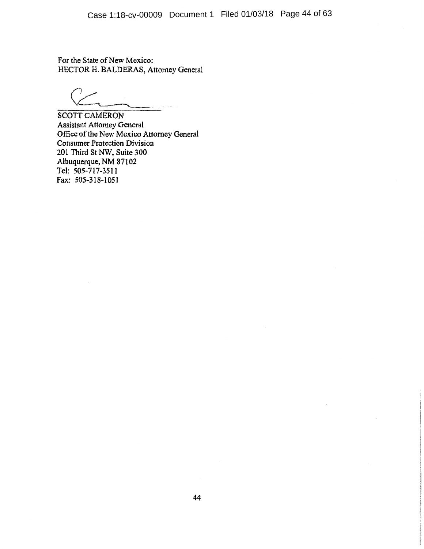For the State of New Mexico: HECTOR H. BALDERAS, Attorney General

**SCOTT CAMERON Assistant Attorney General** Office of the New Mexico Attorney General **Consumer Protection Division** 201 Third St NW, Suite 300 Albuquerque, NM 87102 Tel: 505-717-3511 Fax: 505-318-1051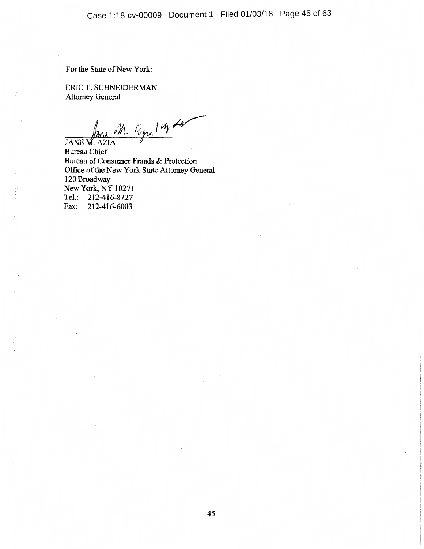For the State of New York:

ERIC T. SCHNEIDERMAN **Attorney General** 

 $\frac{m}{\mu}$  Gjilly Ly

**JANE M. AZIA Bureau Chief** Bureau of Consumer Frauds & Protection Office of the New York State Attorney General 120 Broadway New York, NY 10271 Tel.: 212-416-8727 Fax: 212-416-6003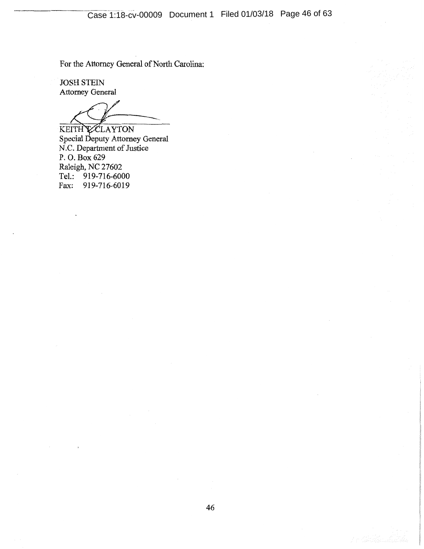For the Attorney General of North Carolina:

**JOSH STEIN Attorney General** 

KEITH CLAYTON<br>Special Deputy Attorney General<br>N.C. Department of Justice P.O. Box 629 Raleigh, NC 27602 Tel.: 919-716-6000 919-716-6019 Fax: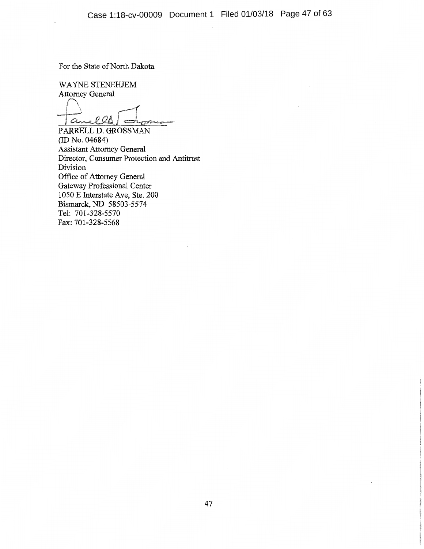For the State of North Dakota

WAYNE STENEHJEM **Attorney General** 

anelles

PARRELL D. GROSSMAN  $(ID No. 04684)$ Assistant Attorney General Director, Consumer Protection and Antitrust Division Office of Attorney General Gateway Professional Center 1050 E Interstate Ave, Ste. 200 Bismarck, ND 58503-5574 Tel: 701-328-5570 Fax: 701-328-5568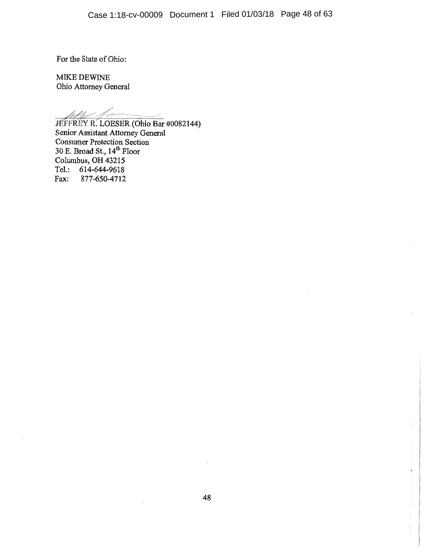For the State of Ohio:

MIKE DEWINE Ohio Attorney General

Jeffer R. LOESER (Ohio Bar #0082144)<br>Senior Assistant Attorney General Consumer Protection Section<br>30 E. Broad St., 14<sup>th</sup> Floor<br>Columbus, OH 43215 Tel.: 614-644-9618 877-650-4712 Fax:

į.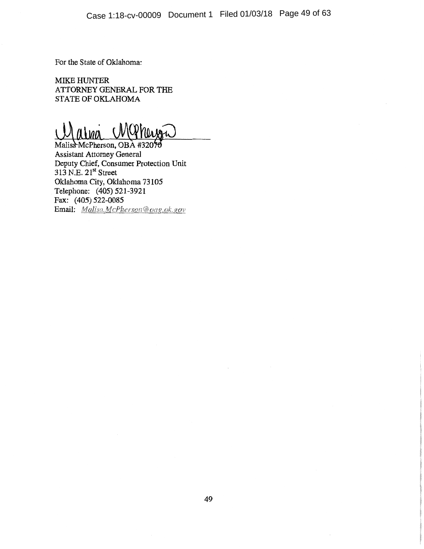For the State of Oklahoma:

**MIKE HUNTER** ATTORNEY GENERAL FOR THE STATE OF OKLAHOMA

Malisa McPherson, OBA #32070 **Assistant Attorney General** Deputy Chief, Consumer Protection Unit  $313$  N.E.  $21^{st}$  Street Oklahoma City, Oklahoma 73105 Telephone: (405) 521-3921 Fax: (405) 522-0085 Email: Malisa.McPherson@oag.ok.gov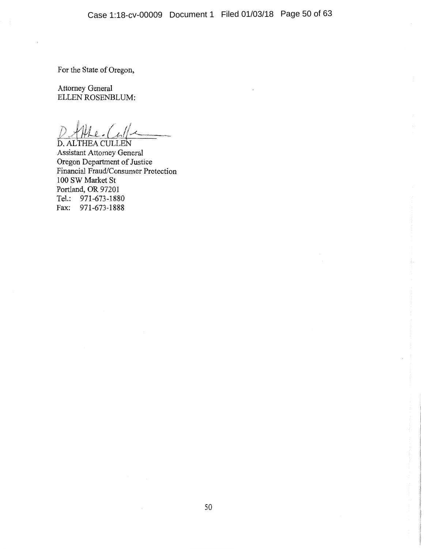For the State of Oregon,

Attorney General ELLEN ROSENBLUM:

D. ALTHEA CULLEN **Assistant Attorney General** Oregon Department of Justice Financial Fraud/Consumer Protection 100 SW Market St Portland, OR 97201 Tel.: 971-673-1880 Fax: 971-673-1888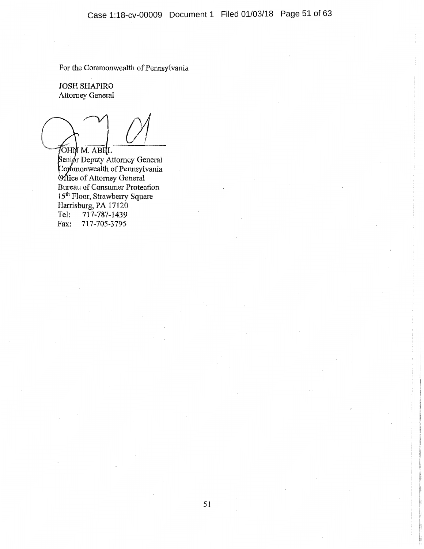For the Commonwealth of Pennsylvania

**JOSH SHAPIRO Attorney General** 

JOHN M. ABILL

Senior Deputy Attorney General<br>Commonwealth of Pennsylvania<br>Office of Attorney General<br>Bureau of Consumer Protection<br>15<sup>th</sup> Floor, Strawberry Square Harrisburg, PA 17120 Tel: 717-787-1439 717-705-3795 Fax: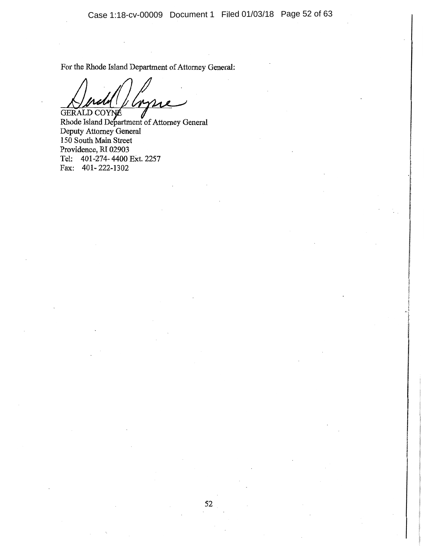Case 1:18-cv-00009 Document 1 Filed 01/03/18 Page 52 of 63

For the Rhode Island Department of Attorney General:

GERALD COYNE

GERALD COYNE VERTICALLY CONTRACT OF Attorney General Deputy Attorney General 150 South Main Street Providence, RI 02903 Tel: 401-274-4400 Ext. 2257 Fax: 401-222-1302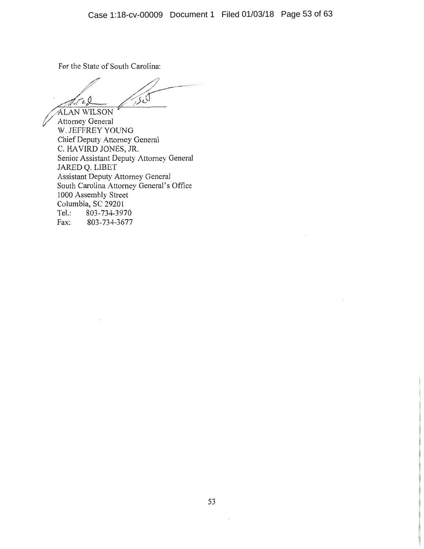For the State of South Carolina:

اکرچ A.Ca.I **ALAN WILSON** 

Attorney General W. JEFFREY YOUNG Chief Deputy Attorney General C. HAVIRD JONES, JR. Senior Assistant Deputy Attorney General JARED Q. LIBET Assistant Deputy Attorney General<br>South Carolina Attorney General's Office 1000 Assembly Street Columbia, SC 29201 803-734-3970  $Tel.$ : Fax: 803-734-3677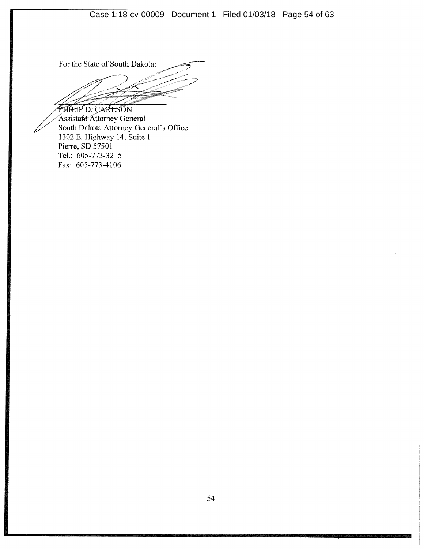For the State of South Dakota:

**PHILIP D. CARLSON** Assistant Attorney General<br>South Dakota Attorney General's Office<br>1302 E. Highway 14, Suite 1 Pierre, SD 57501 Tel.: 605-773-3215 Fax: 605-773-4106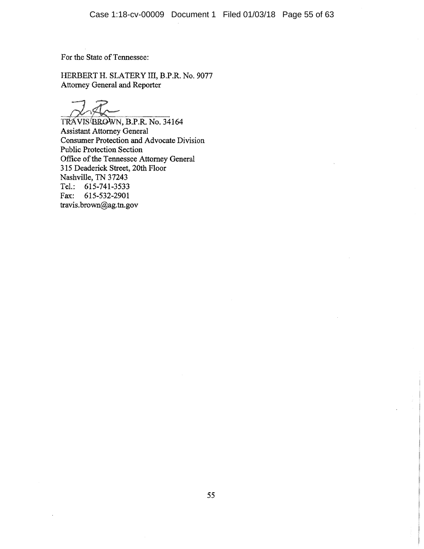For the State of Tennessee:

HERBERT H. SLATERY III, B.P.R. No. 9077 Attorney General and Reporter

TRAVIS BROWN, B.P.R. No. 34164 **Assistant Attorney General** Consumer Protection and Advocate Division **Public Protection Section** Office of the Tennessee Attorney General 315 Deaderick Street, 20th Floor Nashville, TN 37243 Tel.: 615-741-3533 Fax: 615-532-2901 travis.brown@ag.tn.gov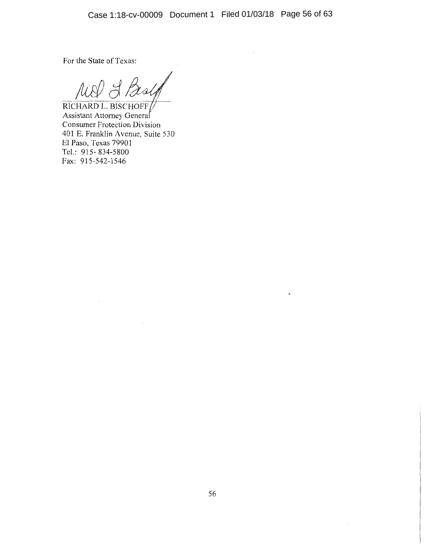For the State of Texas:

MI & Beal

RICHARD L. BISCHOFF Assistant Attorney General **Consumer Protection Division** 401 E. Franklin Avenue, Suite 530 El Paso, Texas 79901 Tel.: 915-834-5800 Fax: 915-542-1546

 $\cdot$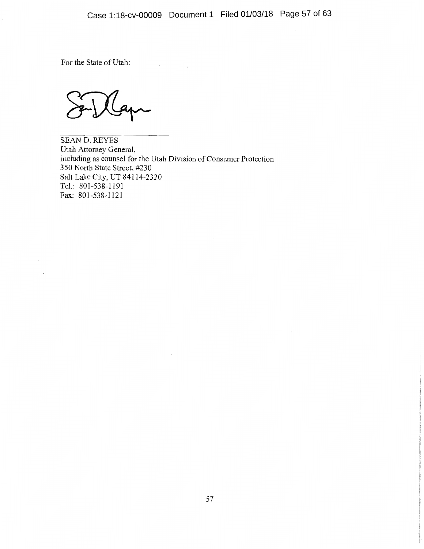# Case 1:18-cv-00009 Document 1 Filed 01/03/18 Page 57 of 63

For the State of Utah:

**SEAN D. REYES** Utah Attorney General, including as counsel for the Utah Division of Consumer Protection 350 North State Street, #230 Salt Lake City, UT 84114-2320 Tel.: 801-538-1191 Fax: 801-538-1121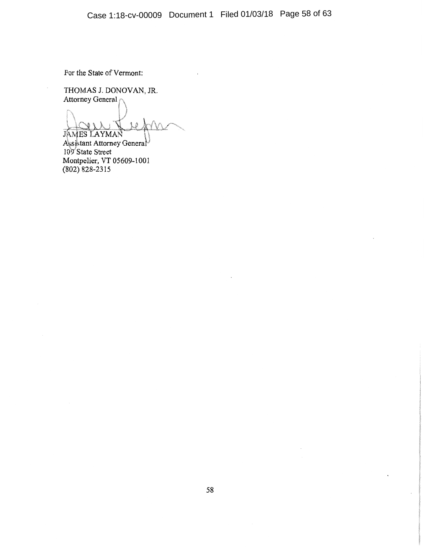# Case 1:18-cv-00009 Document 1 Filed 01/03/18 Page 58 of 63

For the State of Vermont:

 $\overline{\phantom{a}}$ 

THOMAS J. DONOVAN, JR.<br>Attorney General

**JAMES LAYMAN** 

Assistant Attorney General<br>109 State Street<br>Montpelier, VT 05609-1001<br>(802) 828-2315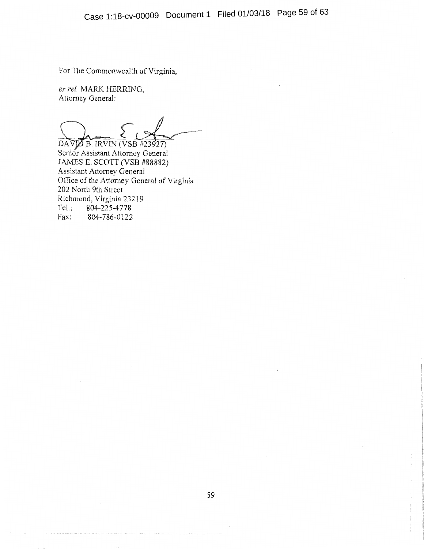For The Commonwealth of Virginia,

ex rel. MARK HERRING, Attorney General:

DAVIB B. IRVIN (VSB #23927) Senior Assistant Attorney General JAMES E. SCOTT (VSB #88882) Assistant Attorney General Office of the Attorney General of Virginia 202 North 9th Street Richmond, Virginia 23219 Tel.: 804-225-4778 Fax: 804-786-0122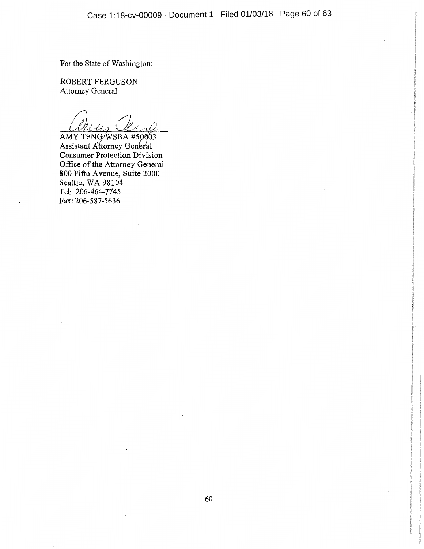For the State of Washington:

ROBERT FERGUSON Attorney General

 $\iota$ la AMY TENG/WSBA #50003

Assistant Attorney General **Consumer Protection Division** Office of the Attorney General<br>800 Fifth Avenue, Suite 2000 Seattle, WA 98104 Tel: 206-464-7745 Fax: 206-587-5636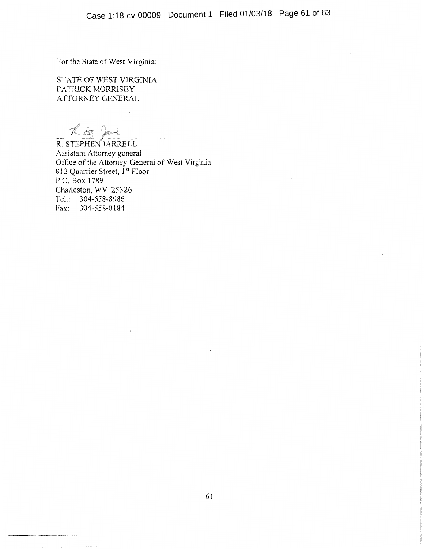For the State of West Virginia:

STATE OF WEST VIRGINIA PATRICK MORRISEY ATTORNEY GENERAL

T. At Dave

R. STEPHEN JARRELL Assistant Attorney general Office of the Attorney General of West Virginia 812 Quarrier Street, 1<sup>st</sup> Floor P.O. Box 1789 Charleston, WV 25326 Tel.: 304-558-8986 Fax: 304-558-0184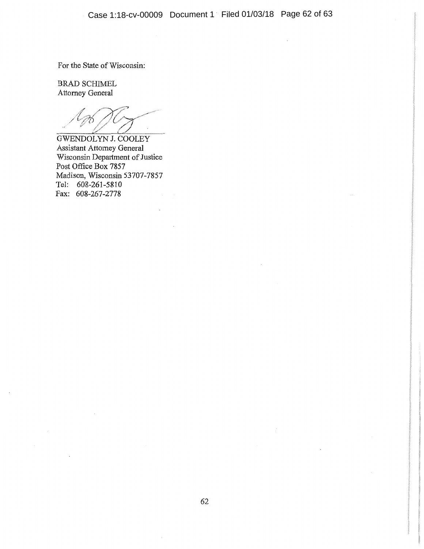$\overline{\phantom{a}}$ 

For the State of Wisconsin:

**BRAD SCHIMEL** Attorney General

**GWENDOLYN J. COOLEY** Assistant Attorney General Wisconsin Department of Justice Post Office Box 7857 Madison, Wisconsin 53707-7857 Tel: 608-261-5810 Fax: 608-267-2778